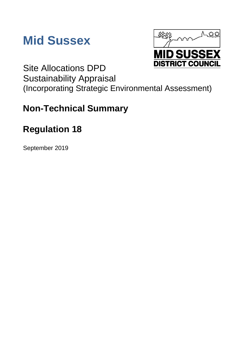



Site Allocations DPD Sustainability Appraisal (Incorporating Strategic Environmental Assessment)

# **Non-Technical Summary**

# **Regulation 18**

September 2019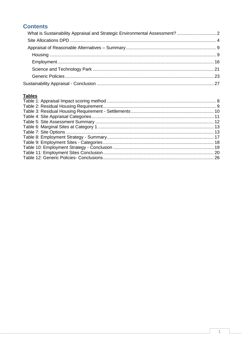# **Contents**

# **Tables**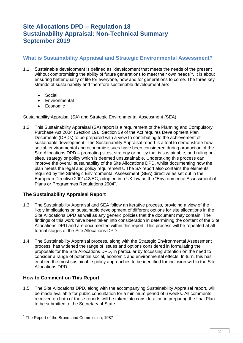# **Site Allocations DPD – Regulation 18 Sustainability Appraisal: Non-Technical Summary September 2019**

# <span id="page-2-0"></span>**What is Sustainability Appraisal and Strategic Environmental Assessment?**

- 1.1. Sustainable development is defined as "development that meets the needs of the present without compromising the ability of future generations to meet their own needs"<sup>1</sup>. It is about ensuring better quality of life for everyone, now and for generations to come. The three key strands of sustainability and therefore sustainable development are:
	- Social
	- **•** Environmental
	- Economic

## Sustainability Appraisal (SA) and Strategic Environmental Assessment (SEA)

1.2. This Sustainability Appraisal (SA) report is a requirement of the Planning and Compulsory Purchase Act 2004 (Section 19). Section 39 of the Act requires Development Plan Documents (DPDs) to be prepared with a view to contributing to the achievement of sustainable development. The Sustainability Appraisal report is a tool to demonstrate how social, environmental and economic issues have been considered during production of the Site Allocations DPD – promoting sites, strategy or policy that is sustainable, and ruling out sites, strategy or policy which is deemed unsustainable. Undertaking this process can improve the overall sustainability of the Site Allocations DPD, whilst documenting how the plan meets the legal and policy requirements. The SA report also contains the elements required by the Strategic Environmental Assessment (SEA) directive as set out in the European Directive 2001/42/EC, adopted into UK law as the "Environmental Assessment of Plans or Programmes Regulations 2004".

# **The Sustainability Appraisal Report**

- 1.3. The Sustainability Appraisal and SEA follow an iterative process, providing a view of the likely implications on sustainable development of different options for site allocations in the Site Allocations DPD as well as any generic policies that the document may contain. The findings of this work have been taken into consideration in determining the content of the Site Allocations DPD and are documented within this report. This process will be repeated at all formal stages of the Site Allocations DPD.
- 1.4. The Sustainability Appraisal process, along with the Strategic Environmental Assessment process, has widened the range of issues and options considered in formulating the proposals for the Site Allocations DPD, in particular by focussing attention on the need to consider a range of potential social, economic and environmental effects. In turn, this has enabled the most sustainable policy approaches to be identified for inclusion within the Site Allocations DPD.

# **How to Comment on This Report**

-

1.5. The Site Allocations DPD, along with the accompanying Sustainability Appraisal report, will be made available for public consultation for a minimum period of 6 weeks. All comments received on both of these reports will be taken into consideration in preparing the final Plan to be submitted to the Secretary of State.

<sup>&</sup>lt;sup>1</sup> The Report of the Brundtland Commission, 1987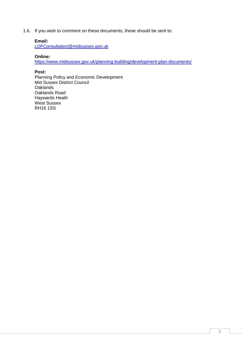1.6. If you wish to comment on these documents, these should be sent to:

#### **Email:**

[LDFConsultation@midsussex.gov.uk](mailto:LDFConsultation@midsussex.gov.uk)

#### **Online:**

<https://www.midsussex.gov.uk/planning-building/development-plan-documents/>

#### **Post:**

Planning Policy and Economic Development Mid Sussex District Council **Oaklands** Oaklands Road Haywards Heath West Sussex RH16 1SS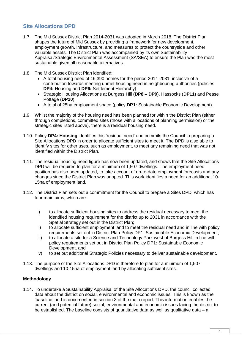# <span id="page-4-0"></span>**Site Allocations DPD**

- 1.7. The Mid Sussex District Plan 2014-2031 was adopted in March 2018. The District Plan shapes the future of Mid Sussex by providing a framework for new development, employment growth, infrastructure, and measures to protect the countryside and other valuable assets. The District Plan was accompanied by its own Sustainability Appraisal/Strategic Environmental Assessment (SA/SEA) to ensure the Plan was the most sustainable given all reasonable alternatives.
- 1.8. The Mid Sussex District Plan identified:
	- A total housing need of 16,390 homes for the period 2014-2031; inclusive of a contribution towards meeting unmet housing need in neighbouring authorities (policies **DP4:** Housing and **DP6:** Settlement Hierarchy)
	- Strategic Housing Allocations at Burgess Hill (**DP8 – DP9**), Hassocks (**DP11**) and Pease Pottage (**DP10**)
	- A total of 25ha employment space (policy **DP1:** Sustainable Economic Development).
- 1.9. Whilst the majority of the housing need has been planned for within the District Plan (either through completions, committed sites (those with allocations of planning permission) or the strategic sites listed above), there is a residual housing need.
- 1.10. Policy **DP4: Housing** identifies this 'residual need' and commits the Council to preparing a Site Allocations DPD in order to allocate sufficient sites to meet it. The DPD is also able to identify sites for other uses, such as employment, to meet any remaining need that was not identified within the District Plan.
- 1.11. The residual housing need figure has now been updated, and shows that the Site Allocations DPD will be required to plan for a minimum of 1,507 dwellings. The employment need position has also been updated, to take account of up-to-date employment forecasts and any changes since the District Plan was adopted. This work identifies a need for an additional 10- 15ha of employment land.
- 1.12. The District Plan sets out a commitment for the Council to prepare a Sites DPD, which has four main aims, which are:
	- i) to allocate sufficient housing sites to address the residual necessary to meet the identified housing requirement for the district up to 2031 in accordance with the Spatial Strategy set out in the District Plan;
	- ii) to allocate sufficient employment land to meet the residual need and in line with policy requirements set out in District Plan Policy DP1: Sustainable Economic Development;
	- iii) to allocate a site for a Science and Technology Park west of Burgess Hill in line with policy requirements set out in District Plan Policy DP1: Sustainable Economic Development, and
	- iv) to set out additional Strategic Policies necessary to deliver sustainable development.
- 1.13. The purpose of the Site Allocations DPD is therefore to plan for a minimum of 1,507 dwellings and 10-15ha of employment land by allocating sufficient sites.

# **Methodology**

1.14. To undertake a Sustainability Appraisal of the Site Allocations DPD, the council collected data about the district on social, environmental and economic issues. This is known as the 'baseline' and is documented in section 3 of the main report. This information enables the current (and potential future) social, environmental and economic issues facing the district to be established. The baseline consists of quantitative data as well as qualitative data – a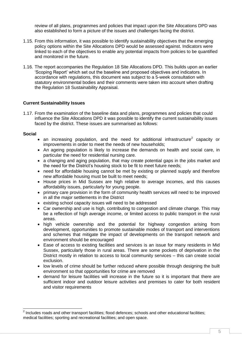review of all plans, programmes and policies that impact upon the Site Allocations DPD was also established to form a picture of the issues and challenges facing the district.

- 1.15. From this information, it was possible to identify sustainability objectives that the emerging policy options within the Site Allocations DPD would be assessed against. Indicators were linked to each of the objectives to enable any potential impacts from policies to be quantified and monitored in the future.
- 1.16. The report accompanies the Regulation 18 Site Allocations DPD. This builds upon an earlier 'Scoping Report' which set out the baseline and proposed objectives and indicators. In accordance with regulations, this document was subject to a 5-week consultation with statutory environmental bodies and their comments were taken into account when drafting the Regulation 18 Sustainability Appraisal.

#### **Current Sustainability Issues**

1.17. From the examination of the baseline data and plans, programmes and policies that could influence the Site Allocations DPD it was possible to identify the current sustainability issues faced by the district. These issues are summarised as follows:

#### **Social**

- an increasing population, and the need for additional infrastructure<sup>2</sup> capacity or improvements in order to meet the needs of new households;
- An ageing population is likely to increase the demands on health and social care, in particular the need for residential nursing care.
- a changing and aging population, that may create potential gaps in the jobs market and the need for the District's housing stock to be fit to meet future needs;
- need for affordable housing cannot be met by existing or planned supply and therefore new affordable housing must be built to meet needs;
- House prices in Mid Sussex are high relative to average incomes, and this causes affordability issues, particularly for young people.
- primary care provision in the form of community health services will need to be improved in all the major settlements in the District
- existing school capacity issues will need to be addressed
- Car ownership and use is high, contributing to congestion and climate change. This may be a reflection of high average income, or limited access to public transport in the rural areas.
- high vehicle ownership and the potential for highway congestion arising from development, opportunities to promote sustainable modes of transport and interventions and schemes that mitigate the impact of developments on the transport network and environment should be encouraged
- Ease of access to existing facilities and services is an issue for many residents in Mid Sussex, particularly those in rural areas. There are some pockets of deprivation in the District mostly in relation to access to local community services – this can create social exclusion.
- low levels of crime should be further reduced where possible through designing the built environment so that opportunities for crime are removed
- demand for leisure facilities will increase in the future so it is important that there are sufficient indoor and outdoor leisure activities and premises to cater for both resident and visitor requirements

 2 Includes roads and other transport facilities; flood defences; schools and other educational facilities; medical facilities; sporting and recreational facilities; and open space.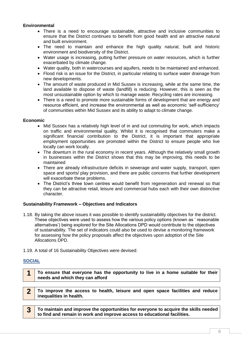## **Environmental**

- There is a need to encourage sustainable, attractive and inclusive communities to ensure that the District continues to benefit from good health and an attractive natural and built environment.
- The need to maintain and enhance the high quality natural, built and historic environment and biodiversity of the District.
- Water usage is increasing, putting further pressure on water resources, which is further exacerbated by climate change.
- Water quality, both in watercourses and aquifers, needs to be maintained and enhanced.
- Flood risk is an issue for the District, in particular relating to surface water drainage from new developments.
- The amount of waste produced in Mid Sussex is increasing, while at the same time, the land available to dispose of waste (landfill) is reducing. However, this is seen as the most unsustainable option by which to manage waste. Recycling rates are increasing.
- There is a need to promote more sustainable forms of development that are energy and resource efficient, and increase the environmental as well as economic 'self-sufficiency' of communities within Mid Sussex and its ability to adapt to climate change.

## **Economic**

- Mid Sussex has a relatively high level of in and out commuting for work, which impacts on traffic and environmental quality. Whilst it is recognised that commuters make a significant financial contribution to the District, it is important that appropriate employment opportunities are promoted within the District to ensure people who live locally can work locally.
- The downturn in the rural economy in recent years. Although the relatively small growth in businesses within the District shows that this may be improving, this needs to be maintained
- There are already infrastructure deficits in sewerage and water supply, transport, open space and sports/ play provision, and there are public concerns that further development will exacerbate these problems.
- The District's three town centres would benefit from regeneration and renewal so that they can be attractive retail, leisure and commercial hubs each with their own distinctive character.

#### **Sustainability Framework – Objectives and Indicators**

- 1.18. By taking the above issues it was possible to identify sustainability objectives for the district. These objectives were used to assess how the various policy options (known as ' reasonable alternatives') being explored for the Site Allocations DPD would contribute to the objectives of sustainability. The set of indicators could also be used to devise a monitoring framework for assessing how the policy proposals affect the objectives upon adoption of the Site Allocations DPD.
- 1.19. A total of 16 Sustainability Objectives were devised:

# **SOCIAL**

- **1 To ensure that everyone has the opportunity to live in a home suitable for their needs and which they can afford**
- **2 To improve the access to health, leisure and open space facilities and reduce inequalities in health.**
- **3 To maintain and improve the opportunities for everyone to acquire the skills needed to find and remain in work and improve access to educational facilities.**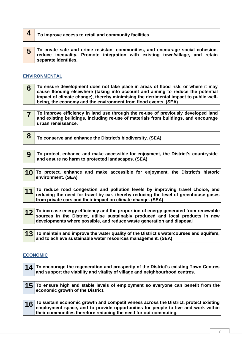- **4 To improve access to retail and community facilities.**
- **5 To create safe and crime resistant communities, and encourage social cohesion, reduce inequality. Promote integration with existing town/village, and retain separate identities.**

## **ENVIRONMENTAL**

- **6 To ensure development does not take place in areas of flood risk, or where it may cause flooding elsewhere (taking into account and aiming to reduce the potential impact of climate change), thereby minimising the detrimental impact to public wellbeing, the economy and the environment from flood events. (SEA)**
- **7 To improve efficiency in land use through the re-use of previously developed land and existing buildings, including re-use of materials from buildings, and encourage urban renaissance.**
	- **8 To conserve and enhance the District's biodiversity. (SEA)**
	- **9 To protect, enhance and make accessible for enjoyment, the District's countryside and ensure no harm to protected landscapes. (SEA)**
- **10 To protect, enhance and make accessible for enjoyment, the District's historic environment. (SEA)**
- 11 To reduce road congestion and pollution levels by improving travel choice, and **reducing the need for travel by car, thereby reducing the level of greenhouse gases from private cars and their impact on climate change. (SEA)**
- **12 To increase energy efficiency and the proportion of energy generated from renewable sources in the District, utilise sustainably produced and local products in new developments where possible, and reduce waste generation and disposal**
- **13** To maintain and improve the water quality of the District's watercourses and aquifers, **and to achieve sustainable water resources management. (SEA)**

# **ECONOMIC**

**14 To encourage the regeneration and prosperity of the District's existing Town Centres and support the viability and vitality of village and neighbourhood centres.**

**15 To ensure high and stable levels of employment so everyone can benefit from the economic growth of the District.**

**16** To sustain economic growth and competitiveness across the District, protect existing **employment space, and to provide opportunities for people to live and work within their communities therefore reducing the need for out-commuting.**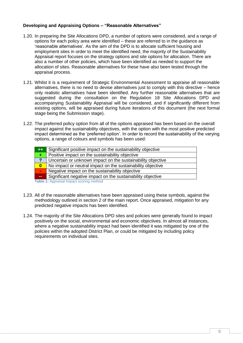## **Developing and Appraising Options – "Reasonable Alternatives"**

- 1.20. In preparing the Site Allocations DPD, a number of options were considered, and a range of options for each policy area were identified – these are referred to in the guidance as 'reasonable alternatives'. As the aim of the DPD is to allocate sufficient housing and employment sites in order to meet the identified need, the majority of the Sustainability Appraisal report focuses on the strategy options and site options for allocation. There are also a number of other policies, which have been identified as needed to support the allocation of sites. Reasonable alternatives for these have also been tested through the appraisal process.
- 1.21. Whilst it is a requirement of Strategic Environmental Assessment to appraise all reasonable alternatives, there is no need to devise alternatives just to comply with this directive – hence only realistic alternatives have been identified. Any further reasonable alternatives that are suggested during the consultation on the Regulation 18 Site Allocations DPD and accompanying Sustainability Appraisal will be considered, and if significantly different from existing options, will be appraised during future iterations of this document (the next formal stage being the Submission stage).
- 1.22. The preferred policy option from all of the options appraised has been based on the overall impact against the sustainability objectives, with the option with the most positive predicted impact determined as the 'preferred option'. In order to record the sustainability of the varying options, a range of colours and symbols has been used:

| $++$          | Significant positive impact on the sustainability objective |
|---------------|-------------------------------------------------------------|
| ÷.            | Positive impact on the sustainability objective             |
| $\mathbf{?}$  | Uncertain or unknown impact on the sustainability objective |
| $\mathbf{0}$  | No impact or neutral impact on the sustainability objective |
| ь,            | Negative impact on the sustainability objective             |
| $\sim$ $\sim$ | Significant negative impact on the sustainability objective |
|               | Table 1: Appraisal Impact scoring method                    |

- <span id="page-8-0"></span>1.23. All of the reasonable alternatives have been appraised using these symbols, against the methodology outlined in section 2 of the main report. Once appraised, mitigation for any predicted negative impacts has been identified.
- 1.24. The majority of the Site Allocations DPD sites and policies were generally found to impact positively on the social, environmental and economic objectives. In almost all instances, where a negative sustainability impact had been identified it was mitigated by one of the policies within the adopted District Plan, or could be mitigated by including policy requirements on individual sites.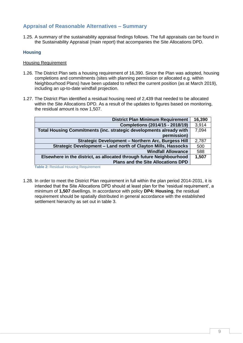# <span id="page-9-0"></span>**Appraisal of Reasonable Alternatives – Summary**

1.25. A summary of the sustainability appraisal findings follows. The full appraisals can be found in the Sustainability Appraisal (main report) that accompanies the Site Allocations DPD.

## <span id="page-9-1"></span>**Housing**

#### Housing Requirement

- 1.26. The District Plan sets a housing requirement of 16,390. Since the Plan was adopted, housing completions and commitments (sites with planning permission or allocated e.g. within Neighbourhood Plans) have been updated to reflect the current position (as at March 2019), including an up-to-date windfall projection.
- 1.27. The District Plan identified a residual housing need of 2,439 that needed to be allocated within the Site Allocations DPD. As a result of the updates to figures based on monitoring, the residual amount is now 1,507.

| <b>District Plan Minimum Requirement</b>                             | 16,390 |
|----------------------------------------------------------------------|--------|
| Completions (2014/15 - 2018/19)                                      | 3,914  |
| Total Housing Commitments (inc. strategic developments already with  | 7,094  |
| permission)                                                          |        |
| Strategic Development - Northern Arc, Burgess Hill                   | 2,787  |
| Strategic Development - Land north of Clayton Mills, Hassocks        | 500    |
| <b>Windfall Allowance</b>                                            | 588    |
| Elsewhere in the district, as allocated through future Neighbourhood | 1,507  |
| <b>Plans and the Site Allocations DPD</b>                            |        |

<span id="page-9-2"></span>**Table 2:** Residual Housing Requirement

1.28. In order to meet the District Plan requirement in full within the plan period 2014-2031, it is intended that the Site Allocations DPD should at least plan for the 'residual requirement', a minimum of **1,507** dwellings. In accordance with policy **DP4: Housing**, the residual requirement should be spatially distributed in general accordance with the established settlement hierarchy as set out in table 3.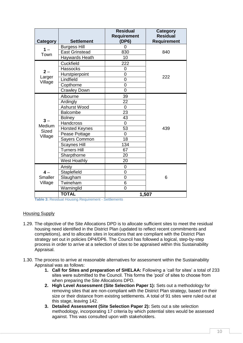|                   |                       | <b>Residual</b><br><b>Requirement</b> | Category<br><b>Residual</b> |  |
|-------------------|-----------------------|---------------------------------------|-----------------------------|--|
| Category          | <b>Settlement</b>     | (DP6)                                 | <b>Requirement</b>          |  |
| $1 -$             | <b>Burgess Hill</b>   | 0                                     |                             |  |
| Town              | <b>East Grinstead</b> | 830                                   | 840                         |  |
|                   | <b>Haywards Heath</b> | 10                                    |                             |  |
|                   | Cuckfield             | 222                                   |                             |  |
| $2 -$             | <b>Hassocks</b>       | 0                                     |                             |  |
|                   | Hurstpierpoint        | $\overline{0}$                        | 222                         |  |
| Larger<br>Village | Lindfield             | $\overline{0}$                        |                             |  |
|                   | Copthorne             | 0                                     |                             |  |
|                   | <b>Crawley Down</b>   | $\overline{0}$                        |                             |  |
|                   | Albourne              | 39                                    |                             |  |
|                   | Ardingly              | 22                                    |                             |  |
|                   | <b>Ashurst Wood</b>   | 0                                     |                             |  |
|                   | <b>Balcombe</b>       | 23                                    |                             |  |
| $3 -$             | <b>Bolney</b>         | 43                                    |                             |  |
| Medium            | Handcross             | 0                                     |                             |  |
| <b>Sized</b>      | <b>Horsted Keynes</b> | 53                                    | 439                         |  |
| Village           | Pease Pottage         | 0                                     |                             |  |
|                   | Sayers Common         | 18                                    |                             |  |
|                   | <b>Scaynes Hill</b>   | 134                                   |                             |  |
|                   | <b>Turners Hill</b>   | 67                                    |                             |  |
|                   | Sharpthorne           | 20                                    |                             |  |
|                   | <b>West Hoathly</b>   | 20                                    |                             |  |
|                   | Ansty                 | 0                                     |                             |  |
| $\mathbf{4}$ $-$  | Staplefield           | 0                                     |                             |  |
| Smaller           | Slaugham              | 0                                     | 6                           |  |
| Village           | Twineham              | 6                                     |                             |  |
|                   | Warninglid            | $\overline{0}$                        |                             |  |
|                   | <b>TOTAL</b>          |                                       | 1,507                       |  |

<span id="page-10-0"></span>**Table 3:** Residual Housing Requirement - Settlements

#### Housing Supply

- 1.29. The objective of the Site Allocations DPD is to allocate sufficient sites to meet the residual housing need identified in the District Plan (updated to reflect recent commitments and completions), and to allocate sites in locations that are compliant with the District Plan strategy set out in policies DP4/DP6. The Council has followed a logical, step-by-step process in order to arrive at a selection of sites to be appraised within this Sustainability Appraisal.
- 1.30. The process to arrive at reasonable alternatives for assessment within the Sustainability Appraisal was as follows:
	- **1. Call for Sites and preparation of SHELAA:** Following a 'call for sites' a total of 233 sites were submitted to the Council. This forms the 'pool' of sites to choose from when preparing the Site Allocations DPD.
	- **2. High Level Assessment (Site Selection Paper 1):** Sets out a methodology for removing sites that are non-compliant with the District Plan strategy, based on their size or their distance from existing settlements. A total of 91 sites were ruled out at this stage, leaving 142.
	- **3. Detailed Assessment (Site Selection Paper 2):** Sets out a site selection methodology, incorporating 17 criteria by which potential sites would be assessed against. This was consulted upon with stakeholders.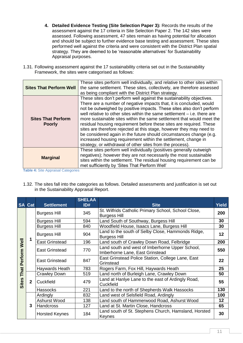- **4. Detailed Evidence Testing (Site Selection Paper 3):** Records the results of the assessment against the 17 criteria in Site Selection Paper 2. The 142 sites were assessed. Following assessment, 47 sites remain as having potential for allocation and should be subject to further evidence base testing and assessment. These sites performed well against the criteria and were consistent with the District Plan spatial strategy. They are deemed to be 'reasonable alternatives' for Sustainability Appraisal purposes.
- 1.31. Following assessment against the 17 sustainability criteria set out in the Sustainability Framework, the sites were categorised as follows:

| <b>Sites That Perform Well</b>             | These sites perform well individually, and relative to other sites within<br>the same settlement. These sites, collectively, are therefore assessed<br>as being compliant with the District Plan strategy.                                                                                                                                                                                                                                                                                                                                                                                                                                                                                                                      |
|--------------------------------------------|---------------------------------------------------------------------------------------------------------------------------------------------------------------------------------------------------------------------------------------------------------------------------------------------------------------------------------------------------------------------------------------------------------------------------------------------------------------------------------------------------------------------------------------------------------------------------------------------------------------------------------------------------------------------------------------------------------------------------------|
| <b>Sites That Perform</b><br><b>Poorly</b> | These sites don't perform well against the sustainability objectives.<br>There are a number of negative impacts that, it is concluded, would<br>not be outweighed by positive impacts. These sites also don't perform<br>well relative to other sites within the same settlement – i.e. there are<br>more sustainable sites within the same settlement that would meet the<br>residual housing requirement before these sites are required. These<br>sites are therefore rejected at this stage, however they may need to<br>be considered again in the future should circumstances change (e.g.<br>increased housing requirement within the settlement, change in<br>strategy, or withdrawal of other sites from the process). |
| <b>Marginal</b>                            | These sites perform well individually (positives generally outweigh<br>negatives); however they are not necessarily the most sustainable<br>sites within the settlement. The residual housing requirement can be<br>met sufficiently by 'Sites That Perform Well'                                                                                                                                                                                                                                                                                                                                                                                                                                                               |

<span id="page-11-0"></span>**Table 4:** Site Appraisal Categories

1.32. The sites fall into the categories as follows. Detailed assessments and justification is set out in the Sustainability Appraisal Report.

|              | <b>SA Cat</b> | <b>Settlement</b>     | <b>SHELAA</b><br>ID# | <b>Site</b>                                                                        | <b>Yield</b> |
|--------------|---------------|-----------------------|----------------------|------------------------------------------------------------------------------------|--------------|
|              |               | <b>Burgess Hill</b>   | 345                  | St. Wilfrids Catholic Primary School, School Close,<br><b>Burgess Hill</b>         | 200          |
|              |               | <b>Burgess Hill</b>   | 594                  | Land South of Southway, Burgess Hill                                               | 30           |
|              |               | <b>Burgess Hill</b>   | 840                  | Woodfield House, Isaacs Lane, Burgess Hill                                         | 30           |
|              |               | <b>Burgess Hill</b>   | 904                  | Land to the south of Selby Close, Hammonds Ridge,<br><b>Burgess Hill</b>           | 12           |
|              | 1             | <b>East Grinstead</b> | 196                  | Land south of Crawley Down Road, Felbridge                                         | 200          |
| Perform Well |               | <b>East Grinstead</b> | 770                  | Land south and west of Imberhorne Upper School,<br>Imberhorne Lane, East Grinstead | 550          |
|              |               | <b>East Grinstead</b> | 847                  | East Grinstead Police Station, College Lane, East<br>Grinstead                     | 22           |
|              |               | Haywards Heath        | 783                  | Rogers Farm, Fox Hill, Haywards Heath                                              | 25           |
| That         |               | <b>Crawley Down</b>   | 519                  | Land north of Burleigh Lane, Crawley Down                                          | 50           |
| <b>Sites</b> | $\mathbf{2}$  | Cuckfield             | 479                  | Land at Hanlye Lane to the east of Ardingly Road,<br>Cuckfield                     | 55           |
|              |               | <b>Hassocks</b>       | 221                  | Land to the north of Shepherds Walk Hassocks                                       | 130          |
|              |               | Ardingly              | 832                  | Land west of Selsfield Road, Ardingly                                              | 100          |
|              |               | Ashurst Wood          | 138                  | Land south of Hammerwood Road, Ashurst Wood                                        | 12           |
|              | 3             | <b>Handcross</b>      | 127                  | Land at St. Martin Close, Handcross                                                | 65           |
|              |               | <b>Horsted Keynes</b> | 184                  | Land south of St. Stephens Church, Hamsland, Horsted<br>Keynes                     | 30           |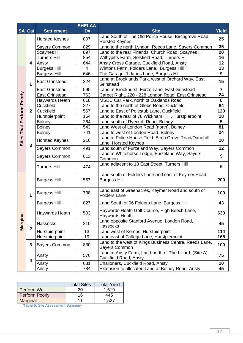| <b>SA</b>                                 | Cat                     | <b>Settlement</b>     | <b>SHELAA</b><br>ID# | <b>Site</b>                                                                      |                 |
|-------------------------------------------|-------------------------|-----------------------|----------------------|----------------------------------------------------------------------------------|-----------------|
|                                           |                         |                       |                      | Land South of The Old Police House, Birchgrove Road,                             | <b>Yield</b>    |
|                                           |                         | <b>Horsted Keynes</b> | 807                  | <b>Horsted Keynes</b>                                                            | 25              |
|                                           |                         | Sayers Common         | 829                  | Land to the north Lyndon, Reeds Lane, Sayers Common                              | 35              |
|                                           |                         | <b>Scaynes Hill</b>   | 897                  | Land to the rear Firlands, Church Road, Scaynes Hill                             | 20              |
|                                           |                         | <b>Turners Hill</b>   | 854                  | Withypitts Farm, Selsfield Road, Turners Hill                                    | 16              |
|                                           | $\overline{\mathbf{4}}$ | Ansty                 | 644                  | Ansty Cross Garage, Cuckfield Road, Ansty                                        | 12              |
|                                           |                         | <b>Burgess Hill</b>   | 4                    | Wintons Farm, Folders Lane, Burgess Hill                                         | 13              |
|                                           |                         | <b>Burgess Hill</b>   | 646                  | The Garage, 1 Janes Lane, Burgess Hill                                           | 9               |
|                                           | 1                       | <b>East Grinstead</b> | 224                  | Land at Brooklands Park, west of Orchard Way, East<br>Grinstead                  | 15              |
|                                           |                         | <b>East Grinstead</b> | 595                  | Land at Brookhurst, Furze Lane, East Grinstead                                   | $\overline{7}$  |
|                                           |                         | <b>East Grinstead</b> | 763                  | Carpet Right, 220 - 228 London Road, East Grinstead                              | 24              |
|                                           |                         | Haywards Heath        | 618                  | MSDC Car Park, north of Oaklands Road                                            | 8               |
|                                           |                         | Cuckfield             | 227                  | Land to the north of Glebe Road, Cuckfield                                       | 84              |
|                                           | $\mathbf{2}$            | Cuckfield             | 567                  | Land to East of Polestub Lane, Cuckfield                                         | 120             |
|                                           |                         | Hurstpierpoint        | 164                  | Land to the rear of 78 Wickham Hill, Hurstpierpoint                              | 18              |
|                                           |                         | <b>Bolney</b>         | 264                  | Land south of Ryecroft Road, Bolney                                              | 5               |
| That Perform Poorly<br>Sites <sup>-</sup> |                         | <b>Bolney</b>         | 543                  | Land West of London Road (north), Bolney                                         | $\overline{81}$ |
|                                           |                         | <b>Bolney</b>         | 741                  | Land to west of London Road, Bolney                                              | 24              |
|                                           | 3                       | <b>Horsted Keynes</b> | 216                  | Land at Police House Field, Birch Grove Road/Danehill<br>Lane, Horsted Keynes    | 10              |
|                                           |                         | Sayers Common         | 491                  | Land south of Furzeland Way, Sayers Common                                       | 12              |
|                                           |                         | Sayers Common         | 613                  | Land at Whitehorse Lodge, Furzeland Way, Sayers<br>Common                        | 9               |
|                                           |                         | <b>Turners Hill</b>   | 474                  | Land adjacent to 18 East Street, Turners Hill                                    | 6               |
|                                           |                         | <b>Burgess Hill</b>   | 557                  | Land south of Folders Lane and east of Keymer Road,<br><b>Burgess Hill</b>       | 200             |
|                                           | 1                       | <b>Burgess Hill</b>   | 738                  | Land east of Greenacres, Keymer Road and south of<br><b>Folders Lane</b>         | 100             |
|                                           |                         | <b>Burgess Hill</b>   | 827                  | Land South of 96 Folders Lane, Burgess Hill                                      | 43              |
|                                           |                         | Haywards Heath        | 503                  | Haywards Heath Golf Course, High Beech Lane,<br>Haywards Heath                   | 630             |
| Marginal                                  | $\mathbf{2}$            | Hassocks              | 210                  | Land opposite Stanford Avenue, London Road,<br>Hassocks                          | 45              |
|                                           |                         | Hurstpierpoint        | 13                   | Land west of Kemps, Hurstpierpoint                                               | 114             |
|                                           |                         | Hurstpierpoint        | 19                   | Land east of College Lane, Hurstpierpoint                                        | 165             |
|                                           | 3                       | <b>Sayers Common</b>  | 830                  | Land to the west of Kings Business Centre, Reeds Lane,<br>Sayers Common          |                 |
|                                           | 4                       | Ansty                 | 576                  | Land at Ansty Farm, Land north of The Lizard, (Site A),<br>Cuckfield Road, Ansty | 75              |
|                                           |                         | Ansty                 | 631                  | Challoners, Cuckfield Road, Ansty                                                | 10              |
|                                           |                         | Ansty                 | 784                  | Extension to allocated Land at Bolney Road, Ansty                                | 45              |

|                       | <b>Total Sites</b> | <b>Total Yield</b> |
|-----------------------|--------------------|--------------------|
| Perform Well          | 20                 | 1.619              |
| <b>Perform Poorly</b> | 16                 | 445                |
| Marginal              | 11                 | 1.527              |

<span id="page-12-0"></span>**Table 5:** Site Assessment Summary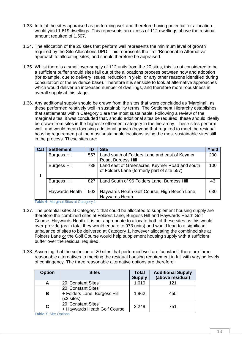- 1.33. In total the sites appraised as performing well and therefore having potential for allocation would yield 1,619 dwellings. This represents an excess of 112 dwellings above the residual amount required of 1,507.
- 1.34. The allocation of the 20 sites that perform well represents the minimum level of growth required by the Site Allocations DPD. This represents the first 'Reasonable Alternative' approach to allocating sites, and should therefore be appraised.
- 1.35. Whilst there is a small over-supply of 112 units from the 20 sites, this is not considered to be a sufficient buffer should sites fall out of the allocations process between now and adoption (for example, due to delivery issues, reduction in yield, or any other reasons identified during consultation or the evidence base). Therefore it is sensible to look at alternative approaches which would deliver an increased number of dwellings, and therefore more robustness in overall supply at this stage.
- 1.36. Any additional supply should be drawn from the sites that were concluded as 'Marginal', as these performed relatively well in sustainability terms. The Settlement Hierarchy establishes that settlements within Category 1 are the most sustainable. Following a review of the marginal sites, it was concluded that, should additional sites be required, these should ideally be drawn from sites in the highest settlement category in the hierarchy. These sites perform well, and would mean focusing additional growth (beyond that required to meet the residual housing requirement) at the most sustainable locations using the most sustainable sites still in the process. These sites are:

| Cat | <b>Settlement</b>   | ID  | <b>Site</b>                                                                                   | Yield |
|-----|---------------------|-----|-----------------------------------------------------------------------------------------------|-------|
|     | <b>Burgess Hill</b> | 557 | Land south of Folders Lane and east of Keymer<br>Road, Burgess Hill                           | 200   |
|     | <b>Burgess Hill</b> | 738 | Land east of Greenacres, Keymer Road and south<br>of Folders Lane (formerly part of site 557) | 100   |
|     | <b>Burgess Hill</b> | 827 | Land South of 96 Folders Lane, Burgess Hill                                                   | 43    |
|     | Haywards Heath      | 503 | Haywards Heath Golf Course, High Beech Lane,<br>Haywards Heath                                | 630   |

**Table 6: Marginal Sites at Category 1** 

- <span id="page-13-0"></span>1.37. The potential sites at Category 1 that could be allocated to supplement housing supply are therefore the combined sites at Folders Lane, Burgess Hill and Haywards Heath Golf Course, Haywards Heath. It is not appropriate to allocate both of these sites as this would over-provide (as in total they would equate to 973 units) and would lead to a significant unbalance of sites to be delivered at Category 1, however allocating the combined site at Folders Lane or the Golf Course would help supplement housing supply with a sufficient buffer over the residual required.
- 1.38. Assuming that the selection of 20 sites that performed well are 'constant', there are three reasonable alternatives to meeting the residual housing requirement in full with varying levels of contingency. The three reasonable alternative options are therefore:

| <b>Option</b> | <b>Sites</b>                                                                | <b>Total</b><br><b>Supply</b> | <b>Additional Supply</b><br>(above residual) |
|---------------|-----------------------------------------------------------------------------|-------------------------------|----------------------------------------------|
|               | 20 'Constant Sites'                                                         | 1,619                         | 121                                          |
| B             | 20 'Constant Sites'<br>+ Folders Lane, Burgess Hill<br>$(x3 \text{ sites})$ | 1,962                         | 455                                          |
| C             | 20 'Constant Sites'<br>+ Haywards Heath Golf Course                         | 2,249                         | 751                                          |

<span id="page-13-1"></span>**Table 7:** Site Options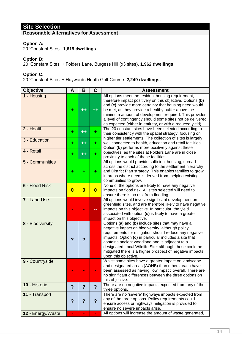# **Site Selection**

# **Reasonable Alternatives for Assessment**

#### **Option A:**

20 'Constant Sites'. **1,619 dwellings.**

#### **Option B:**

20 'Constant Sites' + Folders Lane, Burgess Hill (x3 sites). **1,962 dwellings**

**Option C:**

20 'Constant Sites' + Haywards Heath Golf Course. **2,249 dwellings.**

| <b>Objective</b>  | A                       | B              | C              | <b>Assessment</b>                                                                                                                                                                                                                                                                                                                                                                                                                                       |  |
|-------------------|-------------------------|----------------|----------------|---------------------------------------------------------------------------------------------------------------------------------------------------------------------------------------------------------------------------------------------------------------------------------------------------------------------------------------------------------------------------------------------------------------------------------------------------------|--|
| 1 - Housing       | +                       |                |                | All options meet the residual housing requirement,<br>therefore impact positively on this objective. Options (b)<br>and (c) provide more certainty that housing need would<br>be met, as they provide a healthy buffer above the<br>minimum amount of development required. This provides<br>a level of contingency should some sites not be delivered<br>as expected (either in entirety, or with a reduced yield).                                    |  |
| 2 - Health        | ٠                       | ╋╉             | ÷.             | The 20 constant sites have been selected according to<br>their consistency with the spatial strategy, focusing on                                                                                                                                                                                                                                                                                                                                       |  |
| 3 - Education     | ٠                       | ╄╋             | ٠              | higher tier settlements. The collection of sites is largely<br>well connected to health, education and retail facilities.<br>Option (b) performs more positively against these                                                                                                                                                                                                                                                                          |  |
| 4 - Retail        | ٠                       | ╇╋             | ÷              | objectives, as the sites at Folders Lane are in close<br>proximity to each of these facilities.                                                                                                                                                                                                                                                                                                                                                         |  |
| 5 - Communities   | +                       |                | ÷.             | All options would provide sufficient housing, spread<br>across the district according to the settlement hierarchy<br>and District Plan strategy. This enables families to grow<br>in areas where need is derived from, helping existing<br>communities to grow.                                                                                                                                                                                         |  |
| 6 - Flood Risk    | $\bf{0}$                | $\bf{0}$       | $\bf{0}$       | None of the options are likely to have any negative<br>impacts on flood risk. All sites selected will need to<br>ensure there is no risk from flooding.                                                                                                                                                                                                                                                                                                 |  |
| 7 - Land Use      |                         |                |                | All options would involve significant development on<br>greenfield sites, and are therefore likely to have negative<br>impacts on this objective. In particular, the yield<br>associated with option (c) is likely to have a greater                                                                                                                                                                                                                    |  |
| 8 - Biodiversity  | ?                       | ?              |                | impact on this objective.<br>Options (a) and (b) include sites that may have a<br>negative impact on biodiversity, although policy<br>requirements for mitigation should reduce any negative<br>impacts. Option (c) in particular includes a site that<br>contains ancient woodland and is adjacent to a<br>designated Local Wildlife Site; although these could be<br>mitigated there is a higher prospect of negative impacts<br>upon this objective. |  |
| 9 - Countryside   |                         |                |                | Whilst some sites have a greater impact on landscape<br>and designated areas (AONB) than others, each have<br>been assessed as having 'low impact' overall. There are<br>no significant differences between the three options on<br>this objective.                                                                                                                                                                                                     |  |
| 10 - Historic     | $\overline{?}$          | $\overline{?}$ | $\overline{?}$ | There are no negative impacts expected from any of the<br>three options.                                                                                                                                                                                                                                                                                                                                                                                |  |
| 11 - Transport    | $\overline{\mathbf{?}}$ | $\ddot{?}$     | $\overline{?}$ | There are no 'severe' highways impacts expected from<br>any of the three options. Policy requirements could<br>ensure access or highways mitigation is provided to<br>ensure no severe impacts arise.                                                                                                                                                                                                                                                   |  |
| 12 - Energy/Waste | ÷                       | $\blacksquare$ | ÷,             | All options will increase the amount of waste generated,                                                                                                                                                                                                                                                                                                                                                                                                |  |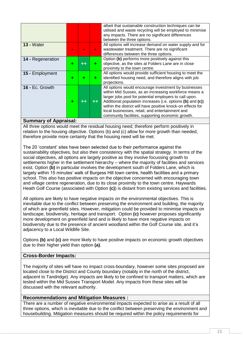|                   |   |   | albeit that sustainable construction techniques can be<br>utilised and waste recycling will be employed to minimise<br>any impacts. There are no significant differences<br>between the three options.                                                                                                                                                                                                       |
|-------------------|---|---|--------------------------------------------------------------------------------------------------------------------------------------------------------------------------------------------------------------------------------------------------------------------------------------------------------------------------------------------------------------------------------------------------------------|
| $13 - Water$      |   |   | All options will increase demand on water supply and for<br>wastewater treatment. There are no significant<br>differences between the three options.                                                                                                                                                                                                                                                         |
| 14 - Regeneration | ٠ | ÷ | Option (b) performs more positively against this<br>objective, as the sites at Folders Lane are in close<br>proximity to the town centre.                                                                                                                                                                                                                                                                    |
| 15 - Employment   | ٠ | ÷ | All options would provide sufficient housing to meet the<br>identified housing need, and therefore aligns with job<br>projections.                                                                                                                                                                                                                                                                           |
| 16 - Ec. Growth   | ٠ |   | All options would encourage investment by businesses<br>within Mid Sussex, as an increasing workforce means a<br>larger jobs pool for potential employers to call upon.<br>Additional population increases (i.e. options (b) and (c))<br>within the district will have positive knock-on effects for<br>local businesses, retail, and entertainment and<br>community facilities, supporting economic growth. |

# **Summary of Appraisal:**

All three options would meet the residual housing need; therefore perform positively in relation to the housing objective. Options (b) and (c) allow for more growth than needed, therefore provide more certainty that the housing need will be met.

The 20 'constant' sites have been selected due to their performance against the sustainability objectives, but also their consistency with the spatial strategy. In terms of the social objectives, all options are largely positive as they involve focussing growth to settlements higher in the settlement hierarchy – where the majority of facilities and services exist. Option **(b)** in particular involves the development south of Folders Lane, which is largely within 15 minutes' walk of Burgess Hill town centre, health facilities and a primary school. This also has positive impacts on the objective concerned with encouraging town and village centre regeneration, due to its close proximity to the town centre. Haywards Heath Golf Course (associated with Option **(c)**) is distant from existing services and facilities.

All options are likely to have negative impacts on the environmental objectives. This is inevitable due to the conflict between preserving the environment and building, the majority of which are greenfield sites. However, mitigation could be provided to minimise impacts on landscape, biodiversity, heritage and transport. Option **(c)** however proposes significantly more development on greenfield land and is likely to have more negative impacts on biodiversity due to the presence of ancient woodland within the Golf Course site, and it's adjacency to a Local Wildlife Site.

Options **(b)** and **(c)** are more likely to have positive impacts on economic growth objectives due to their higher yield than option **(a)**.

# **Cross-Border Impacts:**

The majority of sites will have no impact cross-boundary, however some sites proposed are located close to the District and County boundary (notably in the north of the district, adjacent to Tandridge). Any impacts are likely to be confined to transport matters, which are tested within the Mid Sussex Transport Model. Any impacts from these sites will be discussed with the relevant authority.

#### **Recommendations and Mitigation Measures :**

There are a number of negative environmental impacts expected to arise as a result of all three options, which is inevitable due to the conflict between preserving the environment and housebuilding. Mitigation measures should be required within the policy requirements for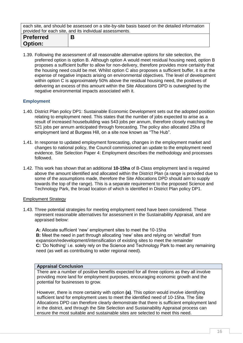each site, and should be assessed on a site-by-site basis based on the detailed information provided for each site, and its individual assessments.

| <b>Preferred</b><br><b>Option:</b> |  |
|------------------------------------|--|
|                                    |  |

1.39. Following the assessment of all reasonable alternative options for site selection, the preferred option is option B. Although option A would meet residual housing need, option B proposes a sufficient buffer to allow for non-delivery, therefore provides more certainty that the housing need could be met. Whilst option C also proposes a sufficient buffer, it is at the expense of negative impacts arising on environmental objectives. The level of development within option C is approximately 50% above the residual housing need, the positives of delivering an excess of this amount within the Site Allocations DPD is outweighed by the negative environmental impacts associated with it.

## <span id="page-16-0"></span>**Employment**

- 1.40. District Plan policy DP1: Sustainable Economic Development sets out the adopted position relating to employment need. This states that the number of jobs expected to arise as a result of increased housebuilding was 543 jobs per annum, therefore closely matching the 521 jobs per annum anticipated through forecasting. The policy also allocated 25ha of employment land at Burgess Hill, on a site now known as "The Hub".
- 1.41. In response to updated employment forecasting, changes in the employment market and changes to national policy, the Council commissioned an update to the employment need evidence. Site Selection Paper 4: Employment describes the methodology and processes followed.
- 1.42. This work has shown that an additional **10-15ha** of B-Class employment land is required above the amount identified and allocated within the District Plan (a range is provided due to some of the assumptions made, therefore the Site Allocations DPD should aim to supply towards the top of the range). This is a separate requirement to the proposed Science and Technology Park, the broad location of which is identified in District Plan policy DP1.

#### Employment Strategy

1.43. Three potential strategies for meeting employment need have been considered. These represent reasonable alternatives for assessment in the Sustainability Appraisal, and are appraised below:

**A:** Allocate sufficient 'new' employment sites to meet the 10-15ha **B:** Meet the need in part through allocating 'new' sites and relying on 'windfall' from expansion/redevelopment/intensification of existing sites to meet the remainder **C:** 'Do Nothing' i.e. solely rely on the Science and Technology Park to meet any remaining need (as well as contributing to wider regional need).

#### **Appraisal Conclusion**

There are a number of positive benefits expected for all three options as they all involve providing more land for employment purposes, encouraging economic growth and the potential for businesses to grow.

However, there is more certainty with option **(a)**. This option would involve identifying sufficient land for employment uses to meet the identified need of 10-15ha. The Site Allocations DPD can therefore clearly demonstrate that there is sufficient employment land in the district, and through the Site Selection and Sustainability Appraisal process can ensure the most suitable and sustainable sites are selected to meet this need.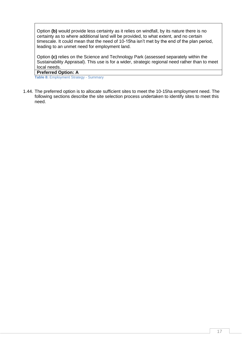Option **(b)** would provide less certainty as it relies on windfall, by its nature there is no certainty as to where additional land will be provided, to what extent, and no certain timescale. It could mean that the need of 10-15ha isn't met by the end of the plan period, leading to an unmet need for employment land.

Option **(c)** relies on the Science and Technology Park (assessed separately within the Sustainability Appraisal). This use is for a wider, strategic regional need rather than to meet local needs.

#### **Preferred Option: A**

<span id="page-17-0"></span>**Table 8:** Employment Strategy - Summary

1.44. The preferred option is to allocate sufficient sites to meet the 10-15ha employment need. The following sections describe the site selection process undertaken to identify sites to meet this need.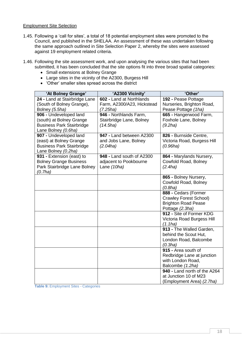#### Employment Site Selection

- 1.45. Following a 'call for sites', a total of 18 potential employment sites were promoted to the Council, and published in the SHELAA. An assessment of these was undertaken following the same approach outlined in Site Selection Paper 2, whereby the sites were assessed against 19 employment related criteria.
- 1.46. Following the site assessment work, and upon analysing the various sites that had been submitted, it has been concluded that the site options fit into three broad spatial categories:
	- Small extensions at Bolney Grange
	- Large sites in the vicinity of the A2300, Burgess Hill
	- 'Other' smaller sites spread across the district

| 'At Bolney Grange'                                                                                            | 'A2300 Vicinity'                                                   | 'Other'                                                                                                |
|---------------------------------------------------------------------------------------------------------------|--------------------------------------------------------------------|--------------------------------------------------------------------------------------------------------|
| 24 - Land at Stairbridge Lane<br>(South of Bolney Grange),<br>Bolney (5.5ha)                                  | 602 - Land at Northlands<br>Farm, A2300/A23, Hickstead<br>(7.25ha) | 192 - Pease Pottage<br>Nurseries, Brighton Road,<br>Pease Pottage (1ha)                                |
| 906 - Undeveloped land<br>(south) at Bolney Grange<br><b>Business Park Stairbridge</b><br>Lane Bolney (0.6ha) | 946 - Northlands Farm,<br>Stairbridge Lane, Bolney<br>(14.5ha)     | 665 - Hangerwood Farm,<br>Foxhole Lane, Bolney<br>(9.2ha)                                              |
| 907 - Undeveloped land<br>(east) at Bolney Grange<br><b>Business Park Stairbridge</b><br>Lane Bolney (0.2ha)  | 947 - Land between A2300<br>and Jobs Lane, Bolney<br>(2.04ha)      | 826 - Burnside Centre,<br>Victoria Road, Burgess Hill<br>(0.96ha)                                      |
| 931 - Extension (east) to<br><b>Bolney Grange Business</b><br>Park Stairbridge Lane Bolney<br>(0.7ha)         | 948 - Land south of A2300<br>adjacent to Pookbourne<br>Lane (10ha) | 864 - Marylands Nursery,<br>Cowfold Road, Bolney<br>(2.4ha)                                            |
|                                                                                                               |                                                                    | 865 - Bolney Nursery,<br>Cowfold Road, Bolney<br>(0.8ha)                                               |
|                                                                                                               |                                                                    | 888 - Cedars (Former<br><b>Crawley Forest School)</b><br><b>Brighton Road Pease</b><br>Pottage (2.3ha) |
|                                                                                                               |                                                                    | 912 - Site of Former KDG<br>Victoria Road Burgess Hill<br>(1.1ha)                                      |
|                                                                                                               |                                                                    | 913 - The Walled Garden,<br>behind the Scout Hut,<br>London Road, Balcombe<br>(0.3ha)                  |
|                                                                                                               |                                                                    | 915 - Area south of<br>Redbridge Lane at junction<br>with London Road,<br>Balcombe (1.2ha)             |
|                                                                                                               |                                                                    | 940 - Land north of the A264<br>at Junction 10 of M23<br>(Employment Area) (2.7ha)                     |

<span id="page-18-0"></span>**Table 9:** Employment Sites - Categories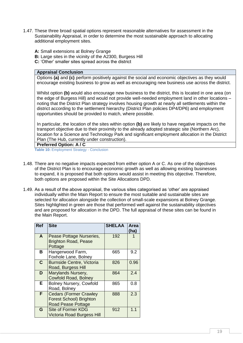- 1.47. These three broad spatial options represent reasonable alternatives for assessment in the Sustainability Appraisal, in order to determine the most sustainable approach to allocating additional employment sites.
	- **A:** Small extensions at Bolney Grange
	- **B:** Large sites in the vicinity of the A2300, Burgess Hill
	- **C:** 'Other' smaller sites spread across the district

#### **Appraisal Conclusion**

Options **(a)** and **(c)** perform positively against the social and economic objectives as they would encourage existing business to grow as well as encouraging new business use across the district.

Whilst option **(b)** would also encourage new business to the district, this is located in one area (on the edge of Burgess Hill) and would not provide well-needed employment land in other locations – noting that the District Plan strategy involves housing growth at nearly all settlements within the district according to the settlement hierarchy (District Plan policies DP4/DP6) and employment opportunities should be provided to match, where possible.

In particular, the location of the sites within option **(b)** are likely to have negative impacts on the transport objective due to their proximity to the already adopted strategic site (Northern Arc), location for a Science and Technology Park and significant employment allocation in the District Plan (The Hub, currently under construction).

#### **Preferred Option: A / C**

<span id="page-19-0"></span>**Table 10:** Employment Strategy - Conclusion

- 1.48. There are no negative impacts expected from either option A or C. As one of the objectives of the District Plan is to encourage economic growth as well as allowing existing businesses to expand, it is proposed that both options would assist in meeting this objective. Therefore, both options are proposed within the Site Allocations DPD.
- 1.49. As a result of the above appraisal, the various sites categorised as 'other' are appraised individually within the Main Report to ensure the most suitable and sustainable sites are selected for allocation alongside the collection of small-scale expansions at Bolney Grange. Sites highlighted in green are those that performed well against the sustainability objectives and are proposed for allocation in the DPD. The full appraisal of these sites can be found in the Main Report.

| <b>Ref</b>  | <b>Site</b>                                             | <b>SHELAA</b> | Area<br>(ha) |
|-------------|---------------------------------------------------------|---------------|--------------|
| A           | Pease Pottage Nurseries,<br><b>Brighton Road, Pease</b> | 192           |              |
|             | Pottage                                                 |               |              |
| B           | Hangerwood Farm,                                        | 665           | 9.2          |
|             | Foxhole Lane, Bolney                                    |               |              |
| $\mathbf C$ | <b>Burnside Centre, Victoria</b>                        | 826           | 0.96         |
|             | Road, Burgess Hill                                      |               |              |
| D           | Marylands Nursery,                                      | 864           | 2.4          |
|             | <b>Cowfold Road, Bolney</b>                             |               |              |
| E           | <b>Bolney Nursery, Cowfold</b>                          | 865           | 0.8          |
|             | Road, Bolney                                            |               |              |
| F           | <b>Cedars (Former Crawley</b>                           | 888           | 2.3          |
|             | <b>Forest School) Brighton</b>                          |               |              |
|             | <b>Road Pease Pottage</b>                               |               |              |
| G           | <b>Site of Former KDG</b>                               | 912           | 1.1          |
|             | <b>Victoria Road Burgess Hill</b>                       |               |              |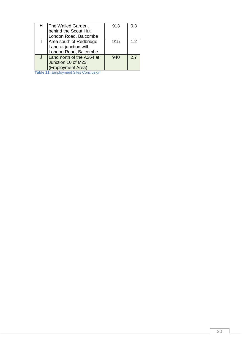| н | The Walled Garden,<br>behind the Scout Hut,<br>London Road, Balcombe      | 913 | 0.3 |
|---|---------------------------------------------------------------------------|-----|-----|
|   | Area south of Redbridge<br>Lane at junction with<br>London Road, Balcombe | 915 | 1.2 |
|   | Land north of the A264 at<br>Junction 10 of M23<br>(Employment Area)      | 940 | 2.7 |

<span id="page-20-0"></span>**Table 11:** Employment Sites Conclusion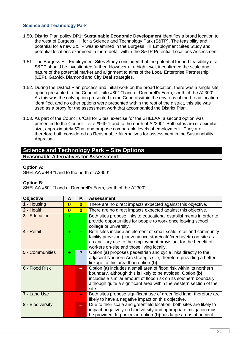#### <span id="page-21-0"></span>**Science and Technology Park**

- 1.50. District Plan policy **DP1: Sustainable Economic Development** identifies a broad location to the west of Burgess Hill for a Science and Technology Park (S&TP). The feasibility and potential for a new S&TP was examined in the Burgess Hill Employment Sites Study and potential locations examined in more detail within the S&TP Potential Locations Assessment.
- 1.51. The Burgess Hill Employment Sites Study concluded that the potential for and feasibility of a S&TP should be investigated further. However at a high level, it confirmed the scale and nature of the potential market and alignment to aims of the Local Enterprise Partnership (LEP), Gatwick Diamond and City Deal strategies.
- 1.52. During the District Plan process and initial work on the broad location, there was a single site option presented to the Council – site #801 "Land at Dumbrell's Farm, south of the A2300". As this was the only option presented to the Council within the environs of the broad location identified, and no other options were presented within the rest of the district, this site was used as a proxy for the assessment work that accompanied the District Plan.
- 1.53. As part of the Council's 'Call for Sites' exercise for the SHELAA, a second option was presented to the Council – site #949 "Land to the north of A2300". Both sites are of a similar size, approximately 50ha, and propose comparable levels of employment. They are therefore both considered as Reasonable Alternatives for assessment in the Sustainability Appraisal.

#### **Science and Technology Park – Site Options Reasonable Alternatives for Assessment**

#### **Option A:**

SHELAA #949 "Land to the north of A2300"

#### **Option B:**

SHELAA #801 "Land at Dumbrell's Farm, south of the A2300"

| <b>Objective</b>     | A                       | в                       | <b>Assessment</b>                                                                                                                                                                                                                                                                      |
|----------------------|-------------------------|-------------------------|----------------------------------------------------------------------------------------------------------------------------------------------------------------------------------------------------------------------------------------------------------------------------------------|
| 1 - Housing          | $\overline{\mathbf{0}}$ | $\bf{0}$                | There are no direct impacts expected against this objective.                                                                                                                                                                                                                           |
| 2 - Health           | $\overline{\mathbf{0}}$ | $\overline{\mathbf{0}}$ | There are no direct impacts expected against this objective.                                                                                                                                                                                                                           |
| <b>3 - Education</b> | ÷                       | ÷.                      | Both sites propose links to educational establishments in order to<br>provide opportunities for people to work once leaving school,<br>college or university.                                                                                                                          |
| 4 - Retail           | ÷                       | ÷.                      | Both sites include an element of small-scale retail and community<br>facility provision (convenience store/café/crèche/etc) on-site as<br>an ancillary use to the employment provision, for the benefit of<br>workers on-site and those living locally.                                |
| 5 - Communities      | ÷                       | ?                       | Option (a) proposes pedestrian and cycle links directly to the<br>adjacent Northern Arc strategic site, therefore providing a better<br>linkage to this area than option (b).                                                                                                          |
| 6 - Flood Risk       |                         | --                      | Option (a) includes a small area of flood risk within its northern<br>boundary, although this is likely to be avoided. Option (b)<br>includes a similar amount of flood risk on its southern boundary,<br>although quite a significant area within the western section of the<br>site. |
| 7 - Land Use         |                         |                         | Both sites propose significant use of greenfield land, therefore are<br>likely to have a negative impact on this objective.                                                                                                                                                            |
| 8 - Biodiversity     |                         | --                      | Due to their scale and greenfield location, both sites are likely to<br>impact negatively on biodiversity and appropriate mitigation must<br>be provided. In particular, option (b) has large areas of ancient                                                                         |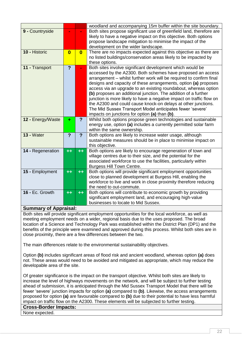|                   |                         |                         | woodland and accompanying 15m buffer within the site boundary.                                                                     |
|-------------------|-------------------------|-------------------------|------------------------------------------------------------------------------------------------------------------------------------|
| 9 - Countryside   |                         |                         | Both sites propose significant use of greenfield land, therefore are                                                               |
|                   |                         |                         | likely to have a negative impact on this objective. Both options                                                                   |
|                   |                         |                         | propose landscape mitigation to minimise the impact of the                                                                         |
|                   |                         |                         | development on the wider landscape.                                                                                                |
| 10 - Historic     | $\overline{\mathbf{0}}$ | $\overline{\mathbf{0}}$ | There are no impacts expected against this objective as there are                                                                  |
|                   |                         |                         | no listed buildings/conservation areas likely to be impacted by                                                                    |
|                   |                         |                         | these options.                                                                                                                     |
| 11 - Transport    | $\overline{?}$          |                         | Both sites involve significant development which would be                                                                          |
|                   |                         |                         | accessed by the A2300. Both schemes have proposed an access<br>arrangement - whilst further work will be required to confirm final |
|                   |                         |                         | designs and capacity of these arrangements, option (a) proposes                                                                    |
|                   |                         |                         | access via an upgrade to an existing roundabout, whereas option                                                                    |
|                   |                         |                         | (b) proposes an additional junction. The addition of a further                                                                     |
|                   |                         |                         | junction is more likely to have a negative impact on traffic flow on                                                               |
|                   |                         |                         | the A2300 and could cause knock-on delays at other junctions.                                                                      |
|                   |                         |                         | The Mid Sussex Transport Model anticipates fewer 'severe'                                                                          |
|                   |                         |                         | impacts on junctions for option (a) than (b).                                                                                      |
| 12 - Energy/Waste | ٠                       | $\overline{?}$          | Whilst both options propose green technologies and sustainable                                                                     |
|                   |                         |                         |                                                                                                                                    |
|                   |                         |                         | energy use, option (a) includes a currently permitted solar farm                                                                   |
|                   |                         |                         | within the same ownership.                                                                                                         |
| <b>13 - Water</b> | $\overline{?}$          | $\overline{?}$          | Both options are likely to increase water usage, although                                                                          |
|                   |                         |                         | sustainable measures should be in place to minimise impact on                                                                      |
|                   |                         |                         | this objective.                                                                                                                    |
| 14 - Regeneration | $++$                    | $+ +$                   | Both options are likely to encourage regeneration of town and                                                                      |
|                   |                         |                         | village centres due to their size, and the potential for the                                                                       |
|                   |                         |                         | associated workforce to use the facilities, particularly within                                                                    |
|                   |                         |                         | Burgess Hill Town Centre.                                                                                                          |
| 15 - Employment   | $++$                    | $++$                    | Both options will provide significant employment opportunities                                                                     |
|                   |                         |                         | close to planned development at Burgess Hill, enabling the                                                                         |
|                   |                         |                         | workforce to live and work in close proximity therefore reducing                                                                   |
|                   |                         |                         | the need to out-commute.                                                                                                           |
| 16 - Ec. Growth   | $++$                    | $++$                    | Both options will contribute to economic growth by providing                                                                       |
|                   |                         |                         | significant employment land, and encouraging high-value<br>businesses to locate to Mid Sussex.                                     |

# **Summary of Appraisal:**

Both sites will provide significant employment opportunities for the local workforce, as well as meeting employment needs on a wider, regional basis due to the uses proposed. The broad location of a Science and Technology Park was established within the District Plan (DP1) and the benefits of the principle were examined and approved during this process. Whilst both sites are in close proximity, there are a few differences between the two.

The main differences relate to the environmental sustainability objectives.

Option **(b)** includes significant areas of flood risk and ancient woodland, whereas option **(a)** does not. These areas would need to be avoided and mitigated as appropriate, which may reduce the developable area of the site.

Of greater significance is the impact on the transport objective. Whilst both sites are likely to increase the level of highways movements on the network, and will be subject to further testing ahead of submission, it is anticipated through the Mid Sussex Transport Model that there will be fewer 'severe' junction impacts for option **(a)** compared to **(b)**. Likewise, the access arrangements proposed for option **(a)** are favourable compared to **(b)** due to their potential to have less harmful impact on traffic flow on the A2300. These elements will be subjected to further testing.

## **Cross-Border Impacts:**

None expected.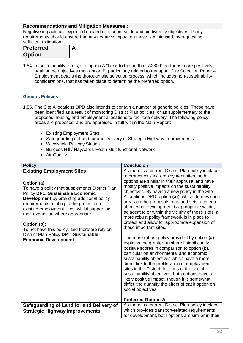| <b>Recommendations and Mitigation Measures:</b>                                          |                                                                                            |  |  |
|------------------------------------------------------------------------------------------|--------------------------------------------------------------------------------------------|--|--|
|                                                                                          | Negative impacts are expected on land use, countryside and biodiversity objectives. Policy |  |  |
| requirements should ensure that any negative impact on these is minimised, by requesting |                                                                                            |  |  |
| sufficient mitigation.                                                                   |                                                                                            |  |  |
| <b>Preferred</b>                                                                         | А                                                                                          |  |  |
| <b>Option:</b>                                                                           |                                                                                            |  |  |

1.54. In sustainability terms, site option A "Land to the north of A2300" performs more positively against the objectives than option B, particularly related to transport. Site Selection Paper 4: Employment details the thorough site selection process, which includes non-sustainability considerations, that has taken place to determine the preferred option.

# <span id="page-23-0"></span>**Generic Policies**

- 1.55. The Site Allocations DPD also intends to contain a number of generic policies. These have been identified as a result of monitoring District Plan policies, or as supplementary to the proposed housing and employment allocations to facilitate delivery. The following policy areas are proposed, and are appraised in full within the Main Report:
	- Existing Employment Sites
	- Safeguarding of Land for and Delivery of Strategic Highway Improvements
	- Wivelsfield Railway Station
	- Burgess Hill / Haywards Heath Multifunctional Network
	- Air Quality

| <b>Policy</b>                                                                                                                                                                                                                                                                                                                                                                                                                         | <b>Conclusion</b>                                                                                                                                                                                                                                                                                                                                                                                                                                                                                                                                                                                                                                                                                                                                                                                                                                                                                                                                                                                                                                                                                      |
|---------------------------------------------------------------------------------------------------------------------------------------------------------------------------------------------------------------------------------------------------------------------------------------------------------------------------------------------------------------------------------------------------------------------------------------|--------------------------------------------------------------------------------------------------------------------------------------------------------------------------------------------------------------------------------------------------------------------------------------------------------------------------------------------------------------------------------------------------------------------------------------------------------------------------------------------------------------------------------------------------------------------------------------------------------------------------------------------------------------------------------------------------------------------------------------------------------------------------------------------------------------------------------------------------------------------------------------------------------------------------------------------------------------------------------------------------------------------------------------------------------------------------------------------------------|
| <b>Existing Employment Sites</b>                                                                                                                                                                                                                                                                                                                                                                                                      | As there is a current District Plan policy in place                                                                                                                                                                                                                                                                                                                                                                                                                                                                                                                                                                                                                                                                                                                                                                                                                                                                                                                                                                                                                                                    |
| Option (a):<br>To have a policy that supplements District Plan<br>Policy DP1: Sustainable Economic<br><b>Development</b> by providing additional policy<br>requirements relating to the protection of<br>existing employment sites, whilst supporting<br>their expansion where appropriate.<br>Option (b):<br>To not have this policy, and therefore rely on<br>District Plan Policy DP1: Sustainable<br><b>Economic Development.</b> | to protect existing employment sites, both<br>options are similar in their appraisal and have<br>mostly positive impacts on the sustainability<br>objectives. By having a new policy in the Site<br>Allocations DPD (option (a)), which defines such<br>areas on the proposals map and sets a criteria<br>about what development is appropriate within,<br>adjacent to or within the vicinity of these sites, a<br>more robust policy framework is in place to<br>protect and allow for appropriate expansion of<br>these important sites.<br>The more robust policy provided by option (a)<br>explains the greater number of significantly<br>positive scores in comparison to option (b),<br>particular on environmental and economic<br>sustainability objectives which have a more<br>direct link to the proliferation of employment<br>sites in the District. In terms of the social<br>sustainability objectives, both options have a<br>likely positive impact, though it is somewhat<br>difficult to quantify the effect of each option on<br>social objectives.<br><b>Preferred Option: A</b> |
| Safeguarding of Land for and Delivery of                                                                                                                                                                                                                                                                                                                                                                                              | As there is a current District Plan policy in place                                                                                                                                                                                                                                                                                                                                                                                                                                                                                                                                                                                                                                                                                                                                                                                                                                                                                                                                                                                                                                                    |
| <b>Strategic Highway Improvements</b>                                                                                                                                                                                                                                                                                                                                                                                                 | which provides transport-related requirements                                                                                                                                                                                                                                                                                                                                                                                                                                                                                                                                                                                                                                                                                                                                                                                                                                                                                                                                                                                                                                                          |
|                                                                                                                                                                                                                                                                                                                                                                                                                                       | for development, both options are similar in their                                                                                                                                                                                                                                                                                                                                                                                                                                                                                                                                                                                                                                                                                                                                                                                                                                                                                                                                                                                                                                                     |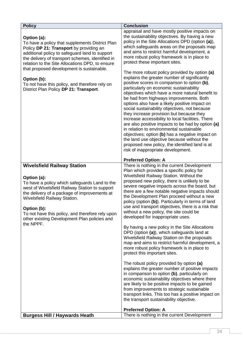| <b>Policy</b>                                                                                                                                                                                                                                                                                                                                                                                                              | <b>Conclusion</b>                                                                                                                                                                                                                                                                                                                                                                                                                                                                                                                                                                                                                                                                                                                                                                                                                                                                                                                                                                                                                                                                                                                                                                                                                                     |
|----------------------------------------------------------------------------------------------------------------------------------------------------------------------------------------------------------------------------------------------------------------------------------------------------------------------------------------------------------------------------------------------------------------------------|-------------------------------------------------------------------------------------------------------------------------------------------------------------------------------------------------------------------------------------------------------------------------------------------------------------------------------------------------------------------------------------------------------------------------------------------------------------------------------------------------------------------------------------------------------------------------------------------------------------------------------------------------------------------------------------------------------------------------------------------------------------------------------------------------------------------------------------------------------------------------------------------------------------------------------------------------------------------------------------------------------------------------------------------------------------------------------------------------------------------------------------------------------------------------------------------------------------------------------------------------------|
| Option (a):<br>To have a policy that supplements District Plan<br>Policy DP 21: Transport by providing an<br>additional policy to safeguard land to support<br>the delivery of transport schemes, identified in<br>relation to the Site Allocations DPD, to ensure<br>that proposed development is sustainable.<br>Option (b):<br>To not have this policy, and therefore rely on<br>District Plan Policy DP 21: Transport. | appraisal and have mostly positive impacts on<br>the sustainability objectives. By having a new<br>policy in the Site Allocations DPD (option (a)),<br>which safeguards areas on the proposals map<br>and aims to restrict harmful development, a<br>more robust policy framework is in place to<br>protect these important sites.<br>The more robust policy provided by option (a)<br>explains the greater number of significantly<br>positive scores in comparison to option (b),<br>particularly on economic sustainability<br>objectives which have a more natural benefit to<br>be had from highways improvements. Both<br>options also have a likely positive impact on<br>social sustainability objectives, not because<br>they increase provision but because they<br>increase accessibility to local facilities. There<br>are also positive impacts to be had by option (a)<br>in relation to environmental sustainable<br>objectives; option (b) has a negative impact on<br>the land use objective because without the<br>proposed new policy, the identified land is at<br>risk of inappropriate development.                                                                                                                             |
|                                                                                                                                                                                                                                                                                                                                                                                                                            | <b>Preferred Option: A</b>                                                                                                                                                                                                                                                                                                                                                                                                                                                                                                                                                                                                                                                                                                                                                                                                                                                                                                                                                                                                                                                                                                                                                                                                                            |
| <b>Wivelsfield Railway Station</b><br>Option (a):<br>To have a policy which safeguards Land to the<br>west of Wivelsfield Railway Station to support<br>the delivery of a package of improvements at<br>Wivelsfield Railway Station.<br>Option (b):<br>To not have this policy, and therefore rely upon<br>other existing Development Plan policies and<br>the NPPF.                                                       | There is nothing in the current Development<br>Plan which provides a specific policy for<br>Wivelsfield Railway Station. Without the<br>proposed new policy, there is unlikely to be<br>severe negative impacts across the board, but<br>there are a few notable negative impacts should<br>the Development Plan proceed without a new<br>policy (option (b)). Particularly in terms of land<br>use and transport objectives, there is a risk that<br>without a new policy, the site could be<br>developed for inappropriate uses.<br>By having a new policy in the Site Allocations<br>DPD (option (a)), which safeguards land at<br>Wivelsfield Railway Station on the proposals<br>map and aims to restrict harmful development, a<br>more robust policy framework is in place to<br>protect this important sites.<br>The robust policy provided by option (a)<br>explains the greater number of positive impacts<br>in comparison to option (b), particularly on<br>economic sustainability objectives where there<br>are likely to be positive impacts to be gained<br>from improvements to strategic sustainable<br>transport links. This too has a positive impact on<br>the transport sustainability objective.<br><b>Preferred Option: A</b> |
| <b>Burgess Hill / Haywards Heath</b>                                                                                                                                                                                                                                                                                                                                                                                       | There is nothing in the current Development                                                                                                                                                                                                                                                                                                                                                                                                                                                                                                                                                                                                                                                                                                                                                                                                                                                                                                                                                                                                                                                                                                                                                                                                           |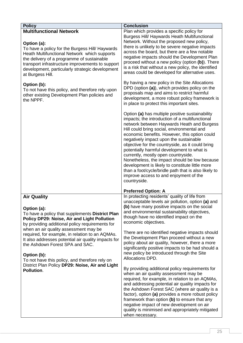| <b>Policy</b>                                                                                                                                                                                                                                                                                                                                                                                                                                                                                                  | <b>Conclusion</b>                                                                                                                                                                                                                                                                                                                                                                                                                                                                                                                                                                                                                                                                                                                                                                                                                                                                                                                                                                                                                                                                                                                                                                                                                                                                                                                                                   |
|----------------------------------------------------------------------------------------------------------------------------------------------------------------------------------------------------------------------------------------------------------------------------------------------------------------------------------------------------------------------------------------------------------------------------------------------------------------------------------------------------------------|---------------------------------------------------------------------------------------------------------------------------------------------------------------------------------------------------------------------------------------------------------------------------------------------------------------------------------------------------------------------------------------------------------------------------------------------------------------------------------------------------------------------------------------------------------------------------------------------------------------------------------------------------------------------------------------------------------------------------------------------------------------------------------------------------------------------------------------------------------------------------------------------------------------------------------------------------------------------------------------------------------------------------------------------------------------------------------------------------------------------------------------------------------------------------------------------------------------------------------------------------------------------------------------------------------------------------------------------------------------------|
| <b>Multifunctional Network</b><br>Option (a):<br>To have a policy for the Burgess Hill/ Haywards<br>Heath Multifunctional Network which supports<br>the delivery of a programme of sustainable<br>transport infrastructure improvements to support<br>development, particularly strategic development<br>at Burgess Hill.<br>Option (b):<br>To not have this policy, and therefore rely upon<br>other existing Development Plan policies and<br>the NPPF.                                                      | Plan which provides a specific policy for<br>Burgess Hill/ Haywards Heath Multifunctional<br>Network. Without the proposed new policy,<br>there is unlikely to be severe negative impacts<br>across the board, but there are a few notable<br>negative impacts should the Development Plan<br>proceed without a new policy (option (b)). There<br>is a risk that without a new policy, the identified<br>areas could be developed for alternative uses.<br>By having a new policy in the Site Allocations<br>DPD (option (a)), which provides policy on the<br>proposals map and aims to restrict harmful<br>development, a more robust policy framework is<br>in place to protect this important sites.<br>Option (a) has multiple positive sustainability<br>impacts; the introduction of a multifunctional<br>network between Haywards Heath and Burgess<br>Hill could bring social, environmental and<br>economic benefits. However, this option could<br>negatively impact upon the sustainable<br>objective for the countryside, as it could bring<br>potentially harmful development to what is<br>currently, mostly open countryside.<br>Nonetheless, the impact should be low because<br>development is likely to constitute little more<br>than a foot/cycle/bridle path that is also likely to<br>improve access to and enjoyment of the<br>countryside. |
|                                                                                                                                                                                                                                                                                                                                                                                                                                                                                                                |                                                                                                                                                                                                                                                                                                                                                                                                                                                                                                                                                                                                                                                                                                                                                                                                                                                                                                                                                                                                                                                                                                                                                                                                                                                                                                                                                                     |
|                                                                                                                                                                                                                                                                                                                                                                                                                                                                                                                | <b>Preferred Option: A</b>                                                                                                                                                                                                                                                                                                                                                                                                                                                                                                                                                                                                                                                                                                                                                                                                                                                                                                                                                                                                                                                                                                                                                                                                                                                                                                                                          |
| <b>Air Quality</b><br>Option (a):<br>To have a policy that supplements District Plan<br>Policy DP29: Noise, Air and Light Pollution<br>by providing additional policy requirements for<br>when an air quality assessment may be<br>required, for example, in relation to an AQMAs.<br>It also addresses potential air quality impacts for<br>the Ashdown Forest SPA and SAC.<br>Option (b):<br>To not have this policy, and therefore rely on<br>District Plan Policy DP29: Noise, Air and Light<br>Pollution. | In protecting residents' quality of life from<br>unacceptable levels air pollution, option (a) and<br>(b) have many positive impacts on the social<br>and environmental sustainability objectives,<br>though have no identified impact on the<br>economic objectives.<br>There are no identified negative impacts should<br>the Development Plan proceed without a new<br>policy about air quality, however, there a more<br>significantly positive impacts to be had should a<br>new policy be introduced through the Site<br>Allocations DPD.<br>By providing additional policy requirements for<br>when an air quality assessment may be<br>required, for example, in relation to an AQMAs,<br>and addressing potential air quality impacts for<br>the Ashdown Forest SAC (where air quality is a<br>factor), option (a) provides a more robust policy<br>framework than option (b) to ensure that any<br>negative impact of new development on air<br>quality is minimised and appropriately mitigated<br>when necessary.                                                                                                                                                                                                                                                                                                                                       |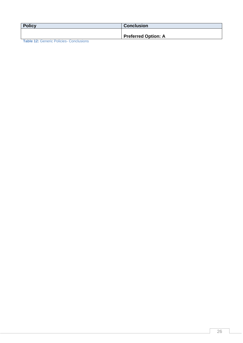| <b>Policy</b>                                  | <b>Conclusion</b>          |
|------------------------------------------------|----------------------------|
|                                                | <b>Preferred Option: A</b> |
| <b>Toble 12: Conorio Doligion Conolugional</b> |                            |

<span id="page-26-0"></span>**Table 12:** Generic Policies- Conclusions